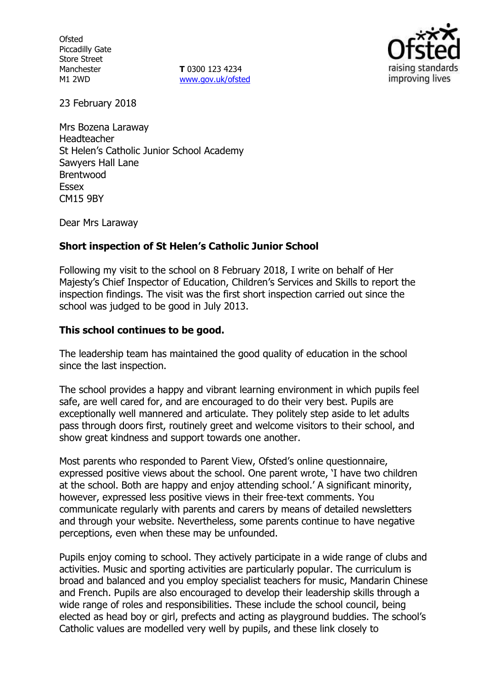**Ofsted** Piccadilly Gate Store Street Manchester M1 2WD

**T** 0300 123 4234 www.gov.uk/ofsted



23 February 2018

Mrs Bozena Laraway Headteacher St Helen's Catholic Junior School Academy Sawyers Hall Lane Brentwood **Essex** CM15 9BY

Dear Mrs Laraway

### **Short inspection of St Helen's Catholic Junior School**

Following my visit to the school on 8 February 2018, I write on behalf of Her Majesty's Chief Inspector of Education, Children's Services and Skills to report the inspection findings. The visit was the first short inspection carried out since the school was judged to be good in July 2013.

#### **This school continues to be good.**

The leadership team has maintained the good quality of education in the school since the last inspection.

The school provides a happy and vibrant learning environment in which pupils feel safe, are well cared for, and are encouraged to do their very best. Pupils are exceptionally well mannered and articulate. They politely step aside to let adults pass through doors first, routinely greet and welcome visitors to their school, and show great kindness and support towards one another.

Most parents who responded to Parent View, Ofsted's online questionnaire, expressed positive views about the school. One parent wrote, 'I have two children at the school. Both are happy and enjoy attending school.' A significant minority, however, expressed less positive views in their free-text comments. You communicate regularly with parents and carers by means of detailed newsletters and through your website. Nevertheless, some parents continue to have negative perceptions, even when these may be unfounded.

Pupils enjoy coming to school. They actively participate in a wide range of clubs and activities. Music and sporting activities are particularly popular. The curriculum is broad and balanced and you employ specialist teachers for music, Mandarin Chinese and French. Pupils are also encouraged to develop their leadership skills through a wide range of roles and responsibilities. These include the school council, being elected as head boy or girl, prefects and acting as playground buddies. The school's Catholic values are modelled very well by pupils, and these link closely to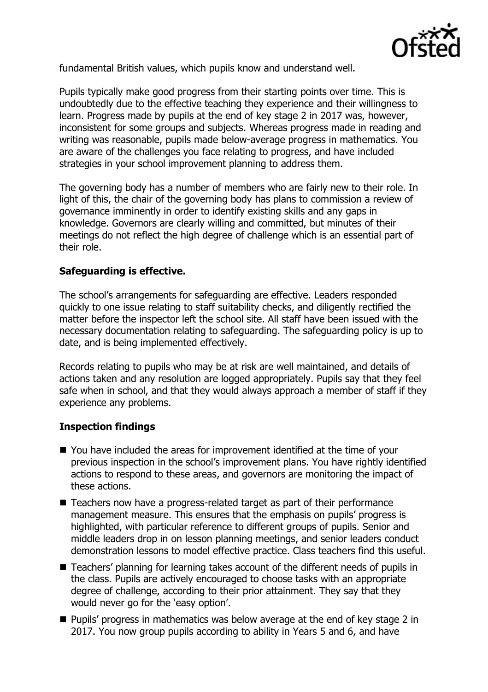

fundamental British values, which pupils know and understand well.

Pupils typically make good progress from their starting points over time. This is undoubtedly due to the effective teaching they experience and their willingness to learn. Progress made by pupils at the end of key stage 2 in 2017 was, however, inconsistent for some groups and subjects. Whereas progress made in reading and writing was reasonable, pupils made below-average progress in mathematics. You are aware of the challenges you face relating to progress, and have included strategies in your school improvement planning to address them.

The governing body has a number of members who are fairly new to their role. In light of this, the chair of the governing body has plans to commission a review of governance imminently in order to identify existing skills and any gaps in knowledge. Governors are clearly willing and committed, but minutes of their meetings do not reflect the high degree of challenge which is an essential part of their role.

### **Safeguarding is effective.**

The school's arrangements for safeguarding are effective. Leaders responded quickly to one issue relating to staff suitability checks, and diligently rectified the matter before the inspector left the school site. All staff have been issued with the necessary documentation relating to safeguarding. The safeguarding policy is up to date, and is being implemented effectively.

Records relating to pupils who may be at risk are well maintained, and details of actions taken and any resolution are logged appropriately. Pupils say that they feel safe when in school, and that they would always approach a member of staff if they experience any problems.

# **Inspection findings**

- You have included the areas for improvement identified at the time of your previous inspection in the school's improvement plans. You have rightly identified actions to respond to these areas, and governors are monitoring the impact of these actions.
- Teachers now have a progress-related target as part of their performance management measure. This ensures that the emphasis on pupils' progress is highlighted, with particular reference to different groups of pupils. Senior and middle leaders drop in on lesson planning meetings, and senior leaders conduct demonstration lessons to model effective practice. Class teachers find this useful.
- Teachers' planning for learning takes account of the different needs of pupils in the class. Pupils are actively encouraged to choose tasks with an appropriate degree of challenge, according to their prior attainment. They say that they would never go for the 'easy option'.
- **Pupils' progress in mathematics was below average at the end of key stage 2 in** 2017. You now group pupils according to ability in Years 5 and 6, and have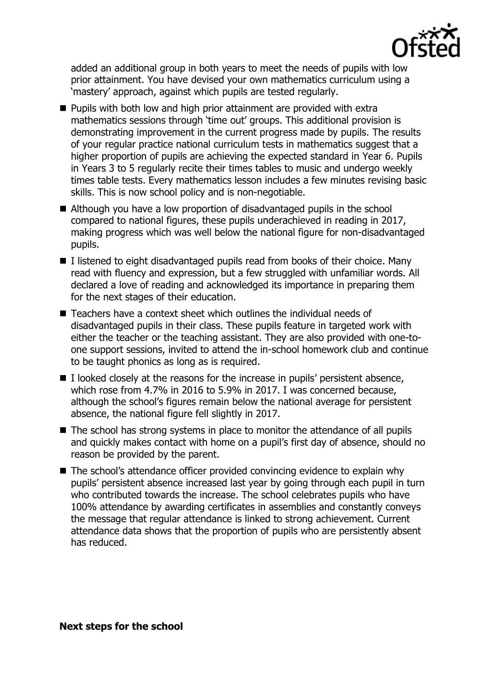

added an additional group in both years to meet the needs of pupils with low prior attainment. You have devised your own mathematics curriculum using a 'mastery' approach, against which pupils are tested regularly.

- $\blacksquare$  Pupils with both low and high prior attainment are provided with extra mathematics sessions through 'time out' groups. This additional provision is demonstrating improvement in the current progress made by pupils. The results of your regular practice national curriculum tests in mathematics suggest that a higher proportion of pupils are achieving the expected standard in Year 6. Pupils in Years 3 to 5 regularly recite their times tables to music and undergo weekly times table tests. Every mathematics lesson includes a few minutes revising basic skills. This is now school policy and is non-negotiable.
- Although you have a low proportion of disadvantaged pupils in the school compared to national figures, these pupils underachieved in reading in 2017, making progress which was well below the national figure for non-disadvantaged pupils.
- $I$  I listened to eight disadvantaged pupils read from books of their choice. Many read with fluency and expression, but a few struggled with unfamiliar words. All declared a love of reading and acknowledged its importance in preparing them for the next stages of their education.
- Teachers have a context sheet which outlines the individual needs of disadvantaged pupils in their class. These pupils feature in targeted work with either the teacher or the teaching assistant. They are also provided with one-toone support sessions, invited to attend the in-school homework club and continue to be taught phonics as long as is required.
- $\blacksquare$  I looked closely at the reasons for the increase in pupils' persistent absence, which rose from 4.7% in 2016 to 5.9% in 2017. I was concerned because, although the school's figures remain below the national average for persistent absence, the national figure fell slightly in 2017.
- The school has strong systems in place to monitor the attendance of all pupils and quickly makes contact with home on a pupil's first day of absence, should no reason be provided by the parent.
- The school's attendance officer provided convincing evidence to explain why pupils' persistent absence increased last year by going through each pupil in turn who contributed towards the increase. The school celebrates pupils who have 100% attendance by awarding certificates in assemblies and constantly conveys the message that regular attendance is linked to strong achievement. Current attendance data shows that the proportion of pupils who are persistently absent has reduced.